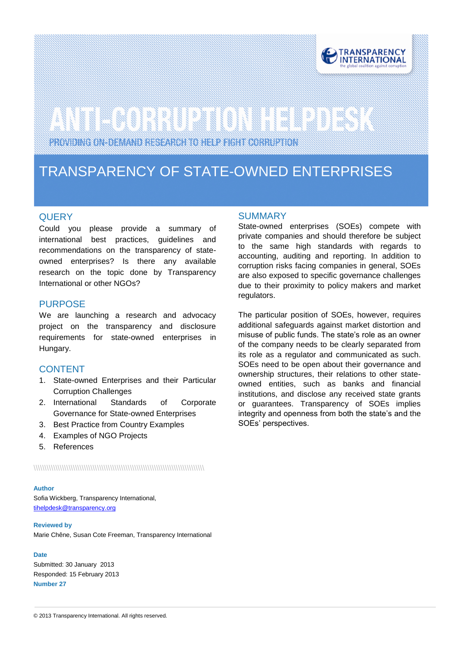

# 

PROVIDING ON-DEMAND RESEARCH TO HELP FIGHT CORRUPTION

### TRANSPARENCY OF STATE-OWNED ENTERPRISES

#### **QUERY**

zer.

Could you please provide a summary of international best practices, guidelines and recommendations on the transparency of stateowned enterprises? Is there any available research on the topic done by Transparency International or other NGOs?

#### PURPOSE

We are launching a research and advocacy project on the transparency and disclosure requirements for state-owned enterprises in Hungary.

#### CONTENT

- 1. State-owned Enterprises and their Particular Corruption Challenges
- 2. International Standards of Corporate Governance for State-owned Enterprises
- 3. Best Practice from Country Examples
- 4. Examples of NGO Projects
- 5. References

\\\\\\\\\\\\\\\\\\\\\\\\\\\\\\\\\\\\\\\\\\\\\\\\\\\\\\\\\\\\\\\\\\\\\\\\\\\\\\

#### **Author**

Sofia Wickberg, Transparency International, [tihelpdesk@transparency.org](mailto:tihelpdesk@transparency.org)

#### **Reviewed by**

Marie Chêne, Susan Cote Freeman, Transparency International

#### **Date**

Submitted: 30 January 2013 Responded: 15 February 2013 **Number 27**

#### **SUMMARY**

State-owned enterprises (SOEs) compete with private companies and should therefore be subject to the same high standards with regards to accounting, auditing and reporting. In addition to corruption risks facing companies in general, SOEs are also exposed to specific governance challenges due to their proximity to policy makers and market regulators.

The particular position of SOEs, however, requires additional safeguards against market distortion and misuse of public funds. The state's role as an owner of the company needs to be clearly separated from its role as a regulator and communicated as such. SOEs need to be open about their governance and ownership structures, their relations to other stateowned entities, such as banks and financial institutions, and disclose any received state grants or guarantees. Transparency of SOEs implies integrity and openness from both the state's and the SOEs' perspectives.

© 2013 Transparency International. All rights reserved.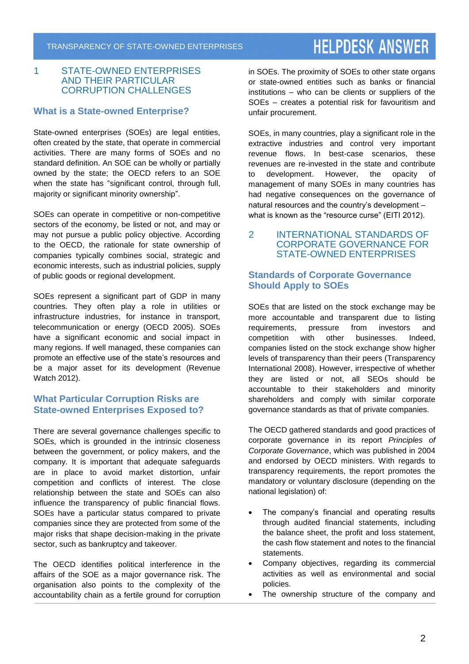#### 1 STATE-OWNED ENTERPRISES AND THEIR PARTICULAR CORRUPTION CHALLENGES

#### **What is a State-owned Enterprise?**

State-owned enterprises (SOEs) are legal entities, often created by the state, that operate in commercial activities. There are many forms of SOEs and no standard definition. An SOE can be wholly or partially owned by the state; the OECD refers to an SOE when the state has "significant control, through full, majority or significant minority ownership".

SOEs can operate in competitive or non-competitive sectors of the economy, be listed or not, and may or may not pursue a public policy objective. According to the OECD, the rationale for state ownership of companies typically combines social, strategic and economic interests, such as industrial policies, supply of public goods or regional development.

SOEs represent a significant part of GDP in many countries. They often play a role in utilities or infrastructure industries, for instance in transport, telecommunication or energy (OECD 2005). SOEs have a significant economic and social impact in many regions. If well managed, these companies can promote an effective use of the state's resources and be a major asset for its development (Revenue Watch 2012).

#### **What Particular Corruption Risks are State-owned Enterprises Exposed to?**

There are several governance challenges specific to SOEs, which is grounded in the intrinsic closeness between the government, or policy makers, and the company. It is important that adequate safeguards are in place to avoid market distortion, unfair competition and conflicts of interest. The close relationship between the state and SOEs can also influence the transparency of public financial flows. SOEs have a particular status compared to private companies since they are protected from some of the major risks that shape decision-making in the private sector, such as bankruptcy and takeover.

The OECD identifies political interference in the affairs of the SOE as a major governance risk. The organisation also points to the complexity of the accountability chain as a fertile ground for corruption in SOEs. The proximity of SOEs to other state organs or state-owned entities such as banks or financial institutions – who can be clients or suppliers of the SOEs – creates a potential risk for favouritism and unfair procurement.

SOEs, in many countries, play a significant role in the extractive industries and control very important revenue flows. In best-case scenarios, these revenues are re-invested in the state and contribute to development. However, the opacity of management of many SOEs in many countries has had negative consequences on the governance of natural resources and the country's development – what is known as the "resource curse" (EITI 2012).

#### 2 INTERNATIONAL STANDARDS OF CORPORATE GOVERNANCE FOR STATE-OWNED ENTERPRISES

#### **Standards of Corporate Governance Should Apply to SOEs**

SOEs that are listed on the stock exchange may be more accountable and transparent due to listing requirements, pressure from investors and competition with other businesses. Indeed, companies listed on the stock exchange show higher levels of transparency than their peers (Transparency International 2008). However, irrespective of whether they are listed or not, all SEOs should be accountable to their stakeholders and minority shareholders and comply with similar corporate governance standards as that of private companies.

The OECD gathered standards and good practices of corporate governance in its report *Principles of Corporate Governance*, which was published in 2004 and endorsed by OECD ministers. With regards to transparency requirements, the report promotes the mandatory or voluntary disclosure (depending on the national legislation) of:

- The company's financial and operating results through audited financial statements, including the balance sheet, the profit and loss statement, the cash flow statement and notes to the financial statements.
- Company objectives, regarding its commercial activities as well as environmental and social policies.
- The ownership structure of the company and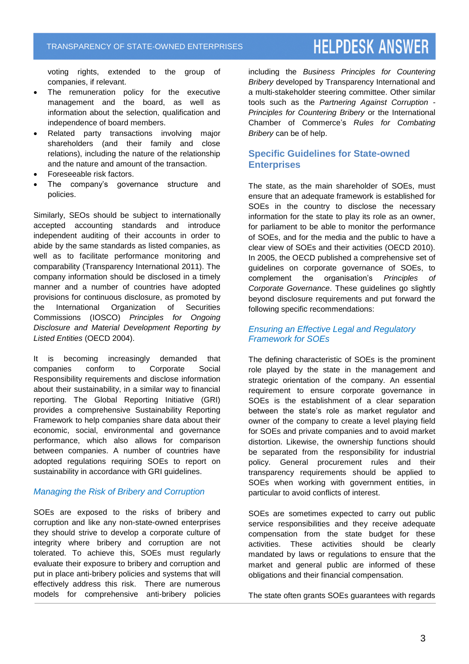voting rights, extended to the group of companies, if relevant.

- The remuneration policy for the executive management and the board, as well as information about the selection, qualification and independence of board members.
- Related party transactions involving major shareholders (and their family and close relations), including the nature of the relationship and the nature and amount of the transaction.
- Foreseeable risk factors.
- The company's governance structure and policies.

Similarly, SEOs should be subject to internationally accepted accounting standards and introduce independent auditing of their accounts in order to abide by the same standards as listed companies, as well as to facilitate performance monitoring and comparability (Transparency International 2011). The company information should be disclosed in a timely manner and a number of countries have adopted provisions for continuous disclosure, as promoted by the International Organization of Securities Commissions (IOSCO) *Principles for Ongoing Disclosure and Material Development Reporting by Listed Entities* (OECD 2004).

It is becoming increasingly demanded that companies conform to Corporate Social Responsibility requirements and disclose information about their sustainability, in a similar way to financial reporting. The Global Reporting Initiative (GRI) provides a comprehensive Sustainability Reporting Framework to help companies share data about their economic, social, environmental and governance performance, which also allows for comparison between companies. A number of countries have adopted regulations requiring SOEs to report on sustainability in accordance with GRI guidelines.

#### *Managing the Risk of Bribery and Corruption*

SOEs are exposed to the risks of bribery and corruption and like any non-state-owned enterprises they should strive to develop a corporate culture of integrity where bribery and corruption are not tolerated. To achieve this, SOEs must regularly evaluate their exposure to bribery and corruption and put in place anti-bribery policies and systems that will effectively address this risk. There are numerous models for comprehensive anti-bribery policies

including the *Business Principles for Countering Bribery* developed by Transparency International and a multi-stakeholder steering committee. Other similar tools such as the *Partnering Against Corruption - Principles for Countering Bribery* or the International Chamber of Commerce's *Rules for Combating Bribery* can be of help.

#### **Specific Guidelines for State-owned Enterprises**

The state, as the main shareholder of SOEs, must ensure that an adequate framework is established for SOEs in the country to disclose the necessary information for the state to play its role as an owner, for parliament to be able to monitor the performance of SOEs, and for the media and the public to have a clear view of SOEs and their activities (OECD 2010). In 2005, the OECD published a comprehensive set of guidelines on corporate governance of SOEs, to complement the organisation's *Principles of Corporate Governance*. These guidelines go slightly beyond disclosure requirements and put forward the following specific recommendations:

#### *Ensuring an Effective Legal and Regulatory Framework for SOEs*

The defining characteristic of SOEs is the prominent role played by the state in the management and strategic orientation of the company. An essential requirement to ensure corporate governance in SOEs is the establishment of a clear separation between the state's role as market regulator and owner of the company to create a level playing field for SOEs and private companies and to avoid market distortion. Likewise, the ownership functions should be separated from the responsibility for industrial policy. General procurement rules and their transparency requirements should be applied to SOEs when working with government entities, in particular to avoid conflicts of interest.

SOEs are sometimes expected to carry out public service responsibilities and they receive adequate compensation from the state budget for these activities. These activities should be clearly mandated by laws or regulations to ensure that the market and general public are informed of these obligations and their financial compensation.

The state often grants SOEs guarantees with regards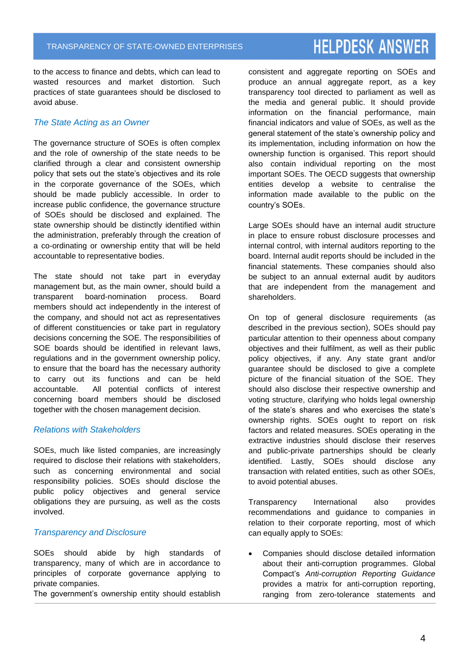to the access to finance and debts, which can lead to wasted resources and market distortion. Such practices of state guarantees should be disclosed to avoid abuse.

#### *The State Acting as an Owner*

The governance structure of SOEs is often complex and the role of ownership of the state needs to be clarified through a clear and consistent ownership policy that sets out the state's objectives and its role in the corporate governance of the SOEs, which should be made publicly accessible. In order to increase public confidence, the governance structure of SOEs should be disclosed and explained. The state ownership should be distinctly identified within the administration, preferably through the creation of a co-ordinating or ownership entity that will be held accountable to representative bodies.

The state should not take part in everyday management but, as the main owner, should build a transparent board-nomination process. Board members should act independently in the interest of the company, and should not act as representatives of different constituencies or take part in regulatory decisions concerning the SOE. The responsibilities of SOE boards should be identified in relevant laws, regulations and in the government ownership policy, to ensure that the board has the necessary authority to carry out its functions and can be held accountable. All potential conflicts of interest concerning board members should be disclosed together with the chosen management decision.

#### *Relations with Stakeholders*

SOEs, much like listed companies, are increasingly required to disclose their relations with stakeholders, such as concerning environmental and social responsibility policies. SOEs should disclose the public policy objectives and general service obligations they are pursuing, as well as the costs involved.

#### *Transparency and Disclosure*

SOEs should abide by high standards of transparency, many of which are in accordance to principles of corporate governance applying to private companies.

The government's ownership entity should establish

consistent and aggregate reporting on SOEs and produce an annual aggregate report, as a key transparency tool directed to parliament as well as the media and general public. It should provide information on the financial performance, main financial indicators and value of SOEs, as well as the general statement of the state's ownership policy and its implementation, including information on how the ownership function is organised. This report should also contain individual reporting on the most important SOEs. The OECD suggests that ownership entities develop a website to centralise the information made available to the public on the country's SOEs.

Large SOEs should have an internal audit structure in place to ensure robust disclosure processes and internal control, with internal auditors reporting to the board. Internal audit reports should be included in the financial statements. These companies should also be subject to an annual external audit by auditors that are independent from the management and shareholders.

On top of general disclosure requirements (as described in the previous section), SOEs should pay particular attention to their openness about company objectives and their fulfilment, as well as their public policy objectives, if any. Any state grant and/or guarantee should be disclosed to give a complete picture of the financial situation of the SOE. They should also disclose their respective ownership and voting structure, clarifying who holds legal ownership of the state's shares and who exercises the state's ownership rights. SOEs ought to report on risk factors and related measures. SOEs operating in the extractive industries should disclose their reserves and public-private partnerships should be clearly identified. Lastly, SOEs should disclose any transaction with related entities, such as other SOEs, to avoid potential abuses.

Transparency International also provides recommendations and guidance to companies in relation to their corporate reporting, most of which can equally apply to SOEs:

 Companies should disclose detailed information about their anti-corruption programmes. Global Compact's *Anti-corruption Reporting Guidance* provides a matrix for anti-corruption reporting, ranging from zero-tolerance statements and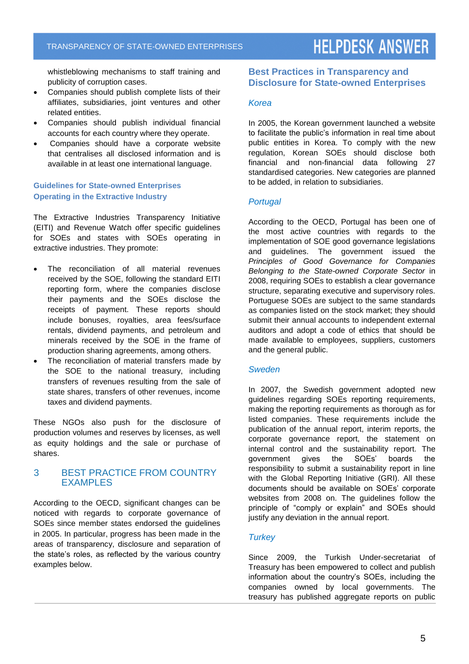whistleblowing mechanisms to staff training and publicity of corruption cases.

- Companies should publish complete lists of their affiliates, subsidiaries, joint ventures and other related entities.
- Companies should publish individual financial accounts for each country where they operate.
- Companies should have a corporate website that centralises all disclosed information and is available in at least one international language.

#### **Guidelines for State-owned Enterprises Operating in the Extractive Industry**

The Extractive Industries Transparency Initiative (EITI) and Revenue Watch offer specific guidelines for SOEs and states with SOEs operating in extractive industries. They promote:

- The reconciliation of all material revenues received by the SOE, following the standard EITI reporting form, where the companies disclose their payments and the SOEs disclose the receipts of payment. These reports should include bonuses, royalties, area fees/surface rentals, dividend payments, and petroleum and minerals received by the SOE in the frame of production sharing agreements, among others.
- The reconciliation of material transfers made by the SOE to the national treasury, including transfers of revenues resulting from the sale of state shares, transfers of other revenues, income taxes and dividend payments.

These NGOs also push for the disclosure of production volumes and reserves by licenses, as well as equity holdings and the sale or purchase of shares.

#### 3 BEST PRACTICE FROM COUNTRY EXAMPLES

According to the OECD, significant changes can be noticed with regards to corporate governance of SOEs since member states endorsed the guidelines in 2005. In particular, progress has been made in the areas of transparency, disclosure and separation of the state's roles, as reflected by the various country examples below.

#### **Best Practices in Transparency and Disclosure for State-owned Enterprises**

#### *Korea*

In 2005, the Korean government launched a website to facilitate the public's information in real time about public entities in Korea. To comply with the new regulation, Korean SOEs should disclose both financial and non-financial data following 27 standardised categories. New categories are planned to be added, in relation to subsidiaries.

#### *Portugal*

According to the OECD, Portugal has been one of the most active countries with regards to the implementation of SOE good governance legislations and guidelines. The government issued the *Principles of Good Governance for Companies Belonging to the State-owned Corporate Sector* in 2008, requiring SOEs to establish a clear governance structure, separating executive and supervisory roles. Portuguese SOEs are subject to the same standards as companies listed on the stock market; they should submit their annual accounts to independent external auditors and adopt a code of ethics that should be made available to employees, suppliers, customers and the general public.

#### *Sweden*

In 2007, the Swedish government adopted new guidelines regarding SOEs reporting requirements, making the reporting requirements as thorough as for listed companies. These requirements include the publication of the annual report, interim reports, the corporate governance report, the statement on internal control and the sustainability report. The government gives the SOEs' boards the responsibility to submit a sustainability report in line with the Global Reporting Initiative (GRI). All these documents should be available on SOEs' corporate websites from 2008 on. The guidelines follow the principle of "comply or explain" and SOEs should justify any deviation in the annual report.

#### *Turkey*

Since 2009, the Turkish Under-secretariat of Treasury has been empowered to collect and publish information about the country's SOEs, including the companies owned by local governments. The treasury has published aggregate reports on public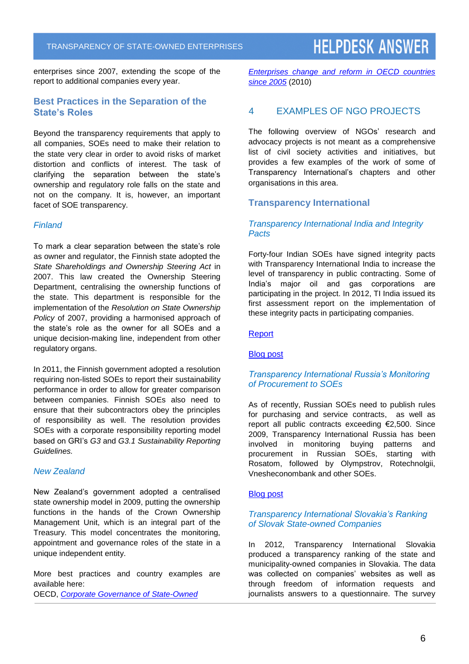enterprises since 2007, extending the scope of the report to additional companies every year.

#### **Best Practices in the Separation of the State's Roles**

Beyond the transparency requirements that apply to all companies, SOEs need to make their relation to the state very clear in order to avoid risks of market distortion and conflicts of interest. The task of clarifying the separation between the state's ownership and regulatory role falls on the state and not on the company. It is, however, an important facet of SOE transparency.

#### *Finland*

To mark a clear separation between the state's role as owner and regulator, the Finnish state adopted the *State Shareholdings and Ownership Steering Act* in 2007. This law created the Ownership Steering Department, centralising the ownership functions of the state. This department is responsible for the implementation of the *Resolution on State Ownership Policy* of 2007, providing a harmonised approach of the state's role as the owner for all SOEs and a unique decision-making line, independent from other regulatory organs.

In 2011, the Finnish government adopted a resolution requiring non-listed SOEs to report their sustainability performance in order to allow for greater comparison between companies. Finnish SOEs also need to ensure that their subcontractors obey the principles of responsibility as well. The resolution provides SOEs with a corporate responsibility reporting model based on GRI's *G3* and *G3.1 Sustainability Reporting Guidelines.*

#### *New Zealand*

New Zealand's government adopted a centralised state ownership model in 2009, putting the ownership functions in the hands of the Crown Ownership Management Unit, which is an integral part of the Treasury. This model concentrates the monitoring, appointment and governance roles of the state in a unique independent entity.

More best practices and country examples are available here: OECD, *[Corporate Governance of State-Owned](https://bvc.cgu.gov.br/bitstream/123456789/3686/1/corporate_governance_state_owned.pdf)*

*[Enterprises change and reform in OECD countries](https://bvc.cgu.gov.br/bitstream/123456789/3686/1/corporate_governance_state_owned.pdf)  [since 2005](https://bvc.cgu.gov.br/bitstream/123456789/3686/1/corporate_governance_state_owned.pdf)* (2010)

#### 4 EXAMPLES OF NGO PROJECTS

The following overview of NGOs' research and advocacy projects is not meant as a comprehensive list of civil society activities and initiatives, but provides a few examples of the work of some of Transparency International's chapters and other organisations in this area.

#### **Transparency International**

#### *Transparency International India and Integrity Pacts*

Forty-four Indian SOEs have signed integrity pacts with Transparency International India to increase the level of transparency in public contracting. Some of India's major oil and gas corporations are participating in the project. In 2012, TI India issued its first assessment report on the implementation of these integrity pacts in participating companies.

#### [Report](http://transparencyindia.org/resource/survey_study/Assessment%20of%20Integrity%20Pact%20in%20IP%20compliant%20PSUs.pdf)

#### [Blog](http://blog.transparency.org/2012/02/13/indias-state-companies-open-up/) post

#### *Transparency International Russia's Monitoring of Procurement to SOEs*

As of recently, Russian SOEs need to publish rules for purchasing and service contracts, as well as report all public contracts exceeding €2,500. Since 2009, Transparency International Russia has been involved in monitoring buying patterns and procurement in Russian SOEs, starting with Rosatom, followed by Olympstrov, Rotechnolgii, Vnesheconombank and other SOEs.

#### [Blog](http://blog.transparency.org/2012/03/27/transparency-international-russia-follows-the-money-in-the-e100-billion-state-procurement-sector/) post

#### *Transparency International Slovakia's Ranking of Slovak State-owned Companies*

In 2012, Transparency International Slovakia produced a transparency ranking of the state and municipality-owned companies in Slovakia. The data was collected on companies' websites as well as through freedom of information requests and journalists answers to a questionnaire. The survey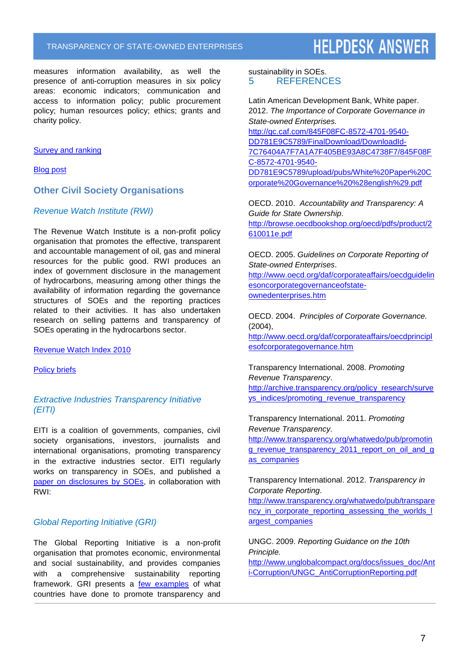measures information availability, as well the presence of anti-corruption measures in six policy areas: economic indicators; communication and access to information policy; public procurement policy; human resources policy; ethics; grants and charity policy.

#### **[Survey and ranking](http://firmy.transparency.sk/en/sets/firms2012/category-rank)**

[Blog](http://blog.transparency.org/2012/09/11/making-slovak-state-companies-more-transparent/) post

#### **Other Civil Society Organisations**

#### *Revenue Watch Institute (RWI)*

The Revenue Watch Institute is a non-profit policy organisation that promotes the effective, transparent and accountable management of oil, gas and mineral resources for the public good. RWI produces an index of government disclosure in the management of hydrocarbons, measuring among other things the availability of information regarding the governance structures of SOEs and the reporting practices related to their activities. It has also undertaken research on selling patterns and transparency of SOEs operating in the hydrocarbons sector.

[Revenue Watch Index 2010](http://www.revenuewatch.org/rwindex2010/pdf/RevenueWatchIndex_2010.pdf)

[Policy briefs](http://www.revenuewatch.org/publications/selling-citizens-oil)

#### *Extractive Industries Transparency Initiative (EITI)*

EITI is a coalition of governments, companies, civil society organisations, investors, journalists and international organisations, promoting transparency in the extractive industries sector. EITI regularly works on transparency in SOEs, and published a [paper on disclosures by SOEs,](http://eiti.org/files/SWG/RWI_SWG_Paper_State_owned_enterprises_April_2012.pdf) in collaboration with RWI:

#### *Global Reporting Initiative (GRI)*

The Global Reporting Initiative is a non-profit organisation that promotes economic, environmental and social sustainability, and provides companies with a comprehensive sustainability reporting framework. GRI presents a [few examples](https://www.globalreporting.org/network/report-or-explain/initiatives-worldwide/state-owned-companies/Pages/default.aspx) of what countries have done to promote transparency and

sustainability in SOEs. 5 REFERENCES

Latin American Development Bank, White paper. 2012. *The Importance of Corporate Governance in State-owned Enterprises.* [http://gc.caf.com/845F08FC-8572-4701-9540-](http://gc.caf.com/845F08FC-8572-4701-9540-DD781E9C5789/FinalDownload/DownloadId-7C76404A7F7A1A7F405BE93A8C4738F7/845F08FC-8572-4701-9540-DD781E9C5789/upload/pubs/White%20Paper%20Corporate%20Governance%20%28english%29.pdf) [DD781E9C5789/FinalDownload/DownloadId-](http://gc.caf.com/845F08FC-8572-4701-9540-DD781E9C5789/FinalDownload/DownloadId-7C76404A7F7A1A7F405BE93A8C4738F7/845F08FC-8572-4701-9540-DD781E9C5789/upload/pubs/White%20Paper%20Corporate%20Governance%20%28english%29.pdf)[7C76404A7F7A1A7F405BE93A8C4738F7/845F08F](http://gc.caf.com/845F08FC-8572-4701-9540-DD781E9C5789/FinalDownload/DownloadId-7C76404A7F7A1A7F405BE93A8C4738F7/845F08FC-8572-4701-9540-DD781E9C5789/upload/pubs/White%20Paper%20Corporate%20Governance%20%28english%29.pdf) [C-8572-4701-9540-](http://gc.caf.com/845F08FC-8572-4701-9540-DD781E9C5789/FinalDownload/DownloadId-7C76404A7F7A1A7F405BE93A8C4738F7/845F08FC-8572-4701-9540-DD781E9C5789/upload/pubs/White%20Paper%20Corporate%20Governance%20%28english%29.pdf) [DD781E9C5789/upload/pubs/White%20Paper%20C](http://gc.caf.com/845F08FC-8572-4701-9540-DD781E9C5789/FinalDownload/DownloadId-7C76404A7F7A1A7F405BE93A8C4738F7/845F08FC-8572-4701-9540-DD781E9C5789/upload/pubs/White%20Paper%20Corporate%20Governance%20%28english%29.pdf) [orporate%20Governance%20%28english%29.pdf](http://gc.caf.com/845F08FC-8572-4701-9540-DD781E9C5789/FinalDownload/DownloadId-7C76404A7F7A1A7F405BE93A8C4738F7/845F08FC-8572-4701-9540-DD781E9C5789/upload/pubs/White%20Paper%20Corporate%20Governance%20%28english%29.pdf)

OECD. 2010. *Accountability and Transparency: A Guide for State Ownership*. [http://browse.oecdbookshop.org/oecd/pdfs/product/2](http://browse.oecdbookshop.org/oecd/pdfs/product/2610011e.pdf) [610011e.pdf](http://browse.oecdbookshop.org/oecd/pdfs/product/2610011e.pdf)

OECD. 2005. *Guidelines on Corporate Reporting of State-owned Enterprises*.

[http://www.oecd.org/daf/corporateaffairs/oecdguidelin](http://www.oecd.org/daf/corporateaffairs/oecdguidelinesoncorporategovernanceofstate-ownedenterprises.htm) [esoncorporategovernanceofstate](http://www.oecd.org/daf/corporateaffairs/oecdguidelinesoncorporategovernanceofstate-ownedenterprises.htm)[ownedenterprises.htm](http://www.oecd.org/daf/corporateaffairs/oecdguidelinesoncorporategovernanceofstate-ownedenterprises.htm)

OECD. 2004. *Principles of Corporate Governance.* (2004),

[http://www.oecd.org/daf/corporateaffairs/oecdprincipl](http://www.oecd.org/daf/corporateaffairs/oecdprinciplesofcorporategovernance.htm) [esofcorporategovernance.htm](http://www.oecd.org/daf/corporateaffairs/oecdprinciplesofcorporategovernance.htm)

Transparency International. 2008. *Promoting Revenue Transparency*. [http://archive.transparency.org/policy\\_research/surve](http://archive.transparency.org/policy_research/surveys_indices/promoting_revenue_transparency)

[ys\\_indices/promoting\\_revenue\\_transparency](http://archive.transparency.org/policy_research/surveys_indices/promoting_revenue_transparency)

Transparency International. 2011. *Promoting Revenue Transparency.*

[http://www.transparency.org/whatwedo/pub/promotin](http://www.transparency.org/whatwedo/pub/promoting_revenue_transparency_2011_report_on_oil_and_gas_companies) [g\\_revenue\\_transparency\\_2011\\_report\\_on\\_oil\\_and\\_g](http://www.transparency.org/whatwedo/pub/promoting_revenue_transparency_2011_report_on_oil_and_gas_companies) as companies

Transparency International. 2012. *Transparency in Corporate Reporting*.

[http://www.transparency.org/whatwedo/pub/transpare](http://www.transparency.org/whatwedo/pub/transparency_in_corporate_reporting_assessing_the_worlds_largest_companies) [ncy\\_in\\_corporate\\_reporting\\_assessing\\_the\\_worlds\\_l](http://www.transparency.org/whatwedo/pub/transparency_in_corporate_reporting_assessing_the_worlds_largest_companies) [argest\\_companies](http://www.transparency.org/whatwedo/pub/transparency_in_corporate_reporting_assessing_the_worlds_largest_companies)

UNGC. 2009. *Reporting Guidance on the 10th Principle.*

[http://www.unglobalcompact.org/docs/issues\\_doc/Ant](http://www.unglobalcompact.org/docs/issues_doc/Anti-Corruption/UNGC_AntiCorruptionReporting.pdf) [i-Corruption/UNGC\\_AntiCorruptionReporting.pdf](http://www.unglobalcompact.org/docs/issues_doc/Anti-Corruption/UNGC_AntiCorruptionReporting.pdf)